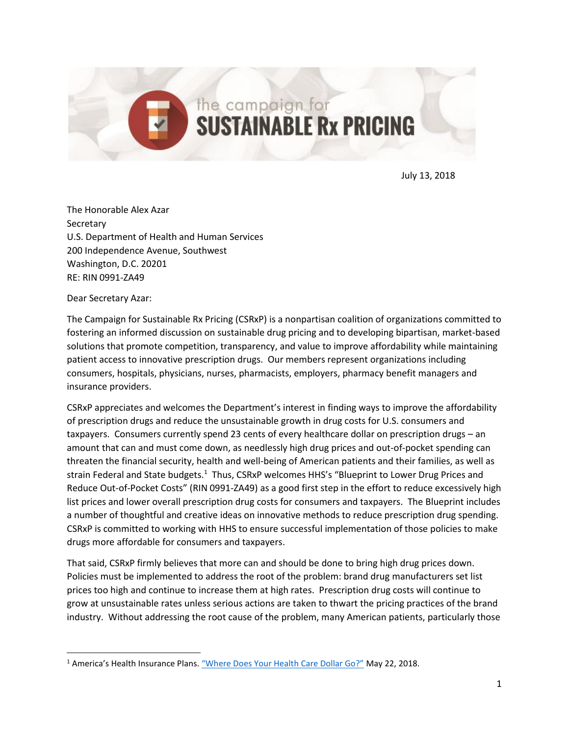July 13, 2018

The Honorable Alex Azar Secretary U.S. Department of Health and Human Services 200 Independence Avenue, Southwest Washington, D.C. 20201 RE: RIN 0991-ZA49

Dear Secretary Azar:

 $\overline{\phantom{a}}$ 

The Campaign for Sustainable Rx Pricing (CSRxP) is a nonpartisan coalition of organizations committed to fostering an informed discussion on sustainable drug pricing and to developing bipartisan, market-based solutions that promote competition, transparency, and value to improve affordability while maintaining patient access to innovative prescription drugs. Our members represent organizations including consumers, hospitals, physicians, nurses, pharmacists, employers, pharmacy benefit managers and insurance providers.

the campaign for

**SUSTAINABLE Rx PRICING** 

CSRxP appreciates and welcomes the Department's interest in finding ways to improve the affordability of prescription drugs and reduce the unsustainable growth in drug costs for U.S. consumers and taxpayers. Consumers currently spend 23 cents of every healthcare dollar on prescription drugs – an amount that can and must come down, as needlessly high drug prices and out-of-pocket spending can threaten the financial security, health and well-being of American patients and their families, as well as strain Federal and State budgets.<sup>1</sup> Thus, CSRxP welcomes HHS's "Blueprint to Lower Drug Prices and Reduce Out-of-Pocket Costs" (RIN 0991-ZA49) as a good first step in the effort to reduce excessively high list prices and lower overall prescription drug costs for consumers and taxpayers. The Blueprint includes a number of thoughtful and creative ideas on innovative methods to reduce prescription drug spending. CSRxP is committed to working with HHS to ensure successful implementation of those policies to make drugs more affordable for consumers and taxpayers.

That said, CSRxP firmly believes that more can and should be done to bring high drug prices down. Policies must be implemented to address the root of the problem: brand drug manufacturers set list prices too high and continue to increase them at high rates. Prescription drug costs will continue to grow at unsustainable rates unless serious actions are taken to thwart the pricing practices of the brand industry. Without addressing the root cause of the problem, many American patients, particularly those

<sup>1</sup> America's Health Insurance Plans. ["Where Does Your Health Care Dollar Go?"](https://www.ahip.org/health-care-dollar/) May 22, 2018.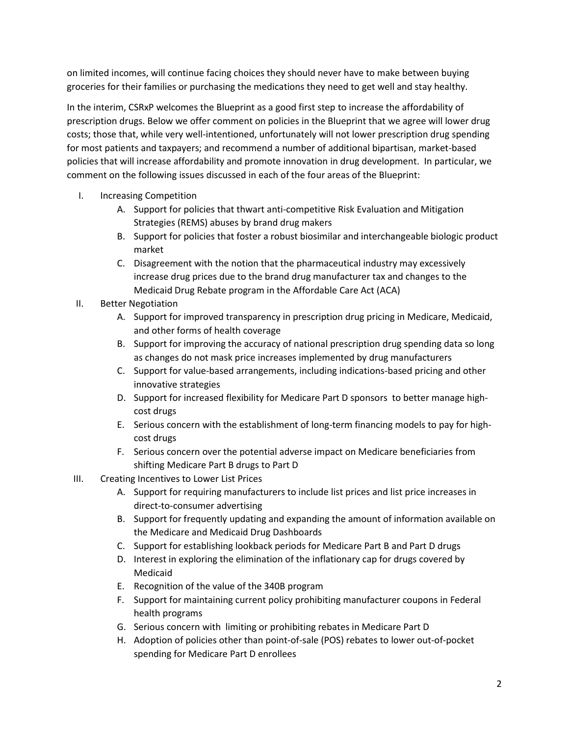on limited incomes, will continue facing choices they should never have to make between buying groceries for their families or purchasing the medications they need to get well and stay healthy.

In the interim, CSRxP welcomes the Blueprint as a good first step to increase the affordability of prescription drugs. Below we offer comment on policies in the Blueprint that we agree will lower drug costs; those that, while very well-intentioned, unfortunately will not lower prescription drug spending for most patients and taxpayers; and recommend a number of additional bipartisan, market-based policies that will increase affordability and promote innovation in drug development. In particular, we comment on the following issues discussed in each of the four areas of the Blueprint:

- I. Increasing Competition
	- A. Support for policies that thwart anti-competitive Risk Evaluation and Mitigation Strategies (REMS) abuses by brand drug makers
	- B. Support for policies that foster a robust biosimilar and interchangeable biologic product market
	- C. Disagreement with the notion that the pharmaceutical industry may excessively increase drug prices due to the brand drug manufacturer tax and changes to the Medicaid Drug Rebate program in the Affordable Care Act (ACA)
- II. Better Negotiation
	- A. Support for improved transparency in prescription drug pricing in Medicare, Medicaid, and other forms of health coverage
	- B. Support for improving the accuracy of national prescription drug spending data so long as changes do not mask price increases implemented by drug manufacturers
	- C. Support for value-based arrangements, including indications-based pricing and other innovative strategies
	- D. Support for increased flexibility for Medicare Part D sponsors to better manage highcost drugs
	- E. Serious concern with the establishment of long-term financing models to pay for highcost drugs
	- F. Serious concern over the potential adverse impact on Medicare beneficiaries from shifting Medicare Part B drugs to Part D
- III. Creating Incentives to Lower List Prices
	- A. Support for requiring manufacturers to include list prices and list price increases in direct-to-consumer advertising
	- B. Support for frequently updating and expanding the amount of information available on the Medicare and Medicaid Drug Dashboards
	- C. Support for establishing lookback periods for Medicare Part B and Part D drugs
	- D. Interest in exploring the elimination of the inflationary cap for drugs covered by Medicaid
	- E. Recognition of the value of the 340B program
	- F. Support for maintaining current policy prohibiting manufacturer coupons in Federal health programs
	- G. Serious concern with limiting or prohibiting rebates in Medicare Part D
	- H. Adoption of policies other than point-of-sale (POS) rebates to lower out-of-pocket spending for Medicare Part D enrollees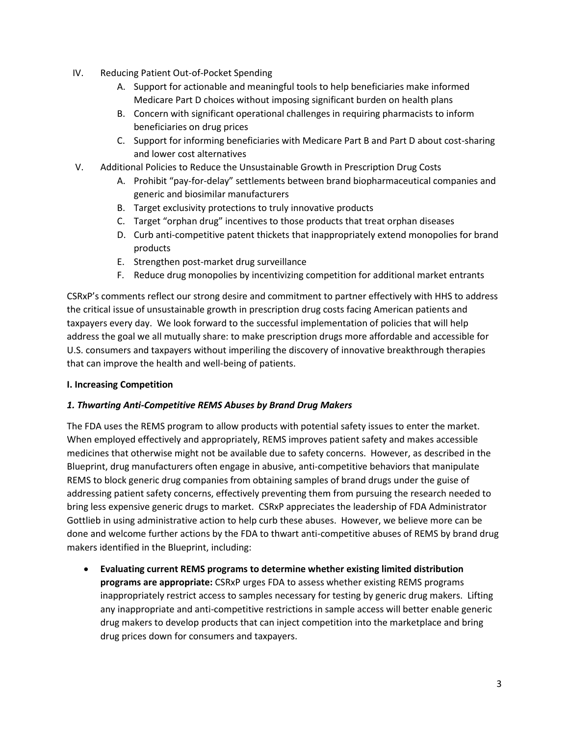- IV. Reducing Patient Out-of-Pocket Spending
	- A. Support for actionable and meaningful tools to help beneficiaries make informed Medicare Part D choices without imposing significant burden on health plans
	- B. Concern with significant operational challenges in requiring pharmacists to inform beneficiaries on drug prices
	- C. Support for informing beneficiaries with Medicare Part B and Part D about cost-sharing and lower cost alternatives
- V. Additional Policies to Reduce the Unsustainable Growth in Prescription Drug Costs
	- A. Prohibit "pay-for-delay" settlements between brand biopharmaceutical companies and generic and biosimilar manufacturers
	- B. Target exclusivity protections to truly innovative products
	- C. Target "orphan drug" incentives to those products that treat orphan diseases
	- D. Curb anti-competitive patent thickets that inappropriately extend monopolies for brand products
	- E. Strengthen post-market drug surveillance
	- F. Reduce drug monopolies by incentivizing competition for additional market entrants

CSRxP's comments reflect our strong desire and commitment to partner effectively with HHS to address the critical issue of unsustainable growth in prescription drug costs facing American patients and taxpayers every day. We look forward to the successful implementation of policies that will help address the goal we all mutually share: to make prescription drugs more affordable and accessible for U.S. consumers and taxpayers without imperiling the discovery of innovative breakthrough therapies that can improve the health and well-being of patients.

#### **I. Increasing Competition**

#### *1. Thwarting Anti-Competitive REMS Abuses by Brand Drug Makers*

The FDA uses the REMS program to allow products with potential safety issues to enter the market. When employed effectively and appropriately, REMS improves patient safety and makes accessible medicines that otherwise might not be available due to safety concerns. However, as described in the Blueprint, drug manufacturers often engage in abusive, anti-competitive behaviors that manipulate REMS to block generic drug companies from obtaining samples of brand drugs under the guise of addressing patient safety concerns, effectively preventing them from pursuing the research needed to bring less expensive generic drugs to market. CSRxP appreciates the leadership of FDA Administrator Gottlieb in using administrative action to help curb these abuses. However, we believe more can be done and welcome further actions by the FDA to thwart anti-competitive abuses of REMS by brand drug makers identified in the Blueprint, including:

 **Evaluating current REMS programs to determine whether existing limited distribution programs are appropriate:** CSRxP urges FDA to assess whether existing REMS programs inappropriately restrict access to samples necessary for testing by generic drug makers. Lifting any inappropriate and anti-competitive restrictions in sample access will better enable generic drug makers to develop products that can inject competition into the marketplace and bring drug prices down for consumers and taxpayers.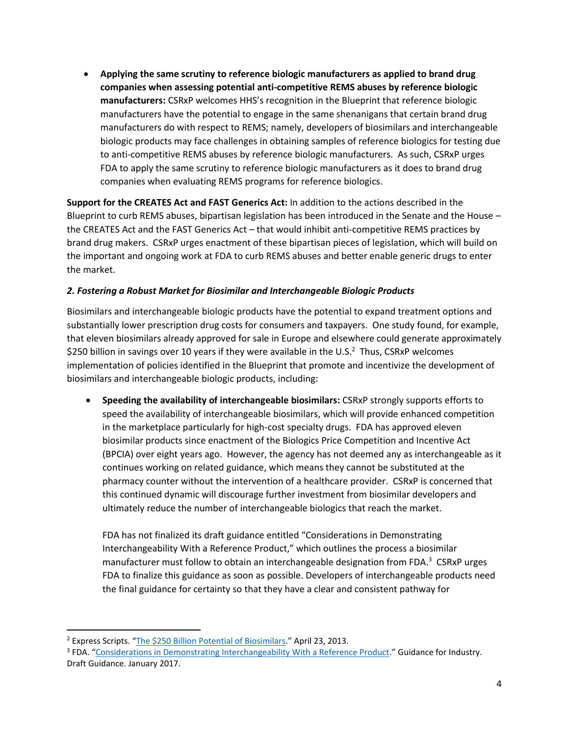**Applying the same scrutiny to reference biologic manufacturers as applied to brand drug companies when assessing potential anti-competitive REMS abuses by reference biologic manufacturers:** CSRxP welcomes HHS's recognition in the Blueprint that reference biologic manufacturers have the potential to engage in the same shenanigans that certain brand drug manufacturers do with respect to REMS; namely, developers of biosimilars and interchangeable biologic products may face challenges in obtaining samples of reference biologics for testing due to anti-competitive REMS abuses by reference biologic manufacturers. As such, CSRxP urges FDA to apply the same scrutiny to reference biologic manufacturers as it does to brand drug companies when evaluating REMS programs for reference biologics.

**Support for the CREATES Act and FAST Generics Act:** In addition to the actions described in the Blueprint to curb REMS abuses, bipartisan legislation has been introduced in the Senate and the House – the CREATES Act and the FAST Generics Act – that would inhibit anti-competitive REMS practices by brand drug makers. CSRxP urges enactment of these bipartisan pieces of legislation, which will build on the important and ongoing work at FDA to curb REMS abuses and better enable generic drugs to enter the market.

## *2. Fostering a Robust Market for Biosimilar and Interchangeable Biologic Products*

Biosimilars and interchangeable biologic products have the potential to expand treatment options and substantially lower prescription drug costs for consumers and taxpayers. One study found, for example, that eleven biosimilars already approved for sale in Europe and elsewhere could generate approximately \$250 billion in savings over 10 years if they were available in the U.S.<sup>2</sup> Thus, CSRxP welcomes implementation of policies identified in the Blueprint that promote and incentivize the development of biosimilars and interchangeable biologic products, including:

 **Speeding the availability of interchangeable biosimilars:** CSRxP strongly supports efforts to speed the availability of interchangeable biosimilars, which will provide enhanced competition in the marketplace particularly for high-cost specialty drugs. FDA has approved eleven biosimilar products since enactment of the Biologics Price Competition and Incentive Act (BPCIA) over eight years ago. However, the agency has not deemed any as interchangeable as it continues working on related guidance, which means they cannot be substituted at the pharmacy counter without the intervention of a healthcare provider. CSRxP is concerned that this continued dynamic will discourage further investment from biosimilar developers and ultimately reduce the number of interchangeable biologics that reach the market.

FDA has not finalized its draft guidance entitled "Considerations in Demonstrating Interchangeability With a Reference Product," which outlines the process a biosimilar manufacturer must follow to obtain an interchangeable designation from FDA.<sup>3</sup> CSRxP urges FDA to finalize this guidance as soon as possible. Developers of interchangeable products need the final guidance for certainty so that they have a clear and consistent pathway for

<sup>2</sup> Express Scripts. "[The \\$250 Billion Potential of Biosimilars](http://lab.express-scripts.com/lab/insights/industry-updates/the-$250-billion-potential-of-biosimilars)." April 23, 2013.

<sup>&</sup>lt;sup>3</sup> FDA. "[Considerations in Demonstrating Interchangeability With a Reference Product](https://www.fda.gov/downloads/Drugs/GuidanceComplianceRegulatoryInformation/Guidances/UCM537135.pdf)." Guidance for Industry. Draft Guidance. January 2017.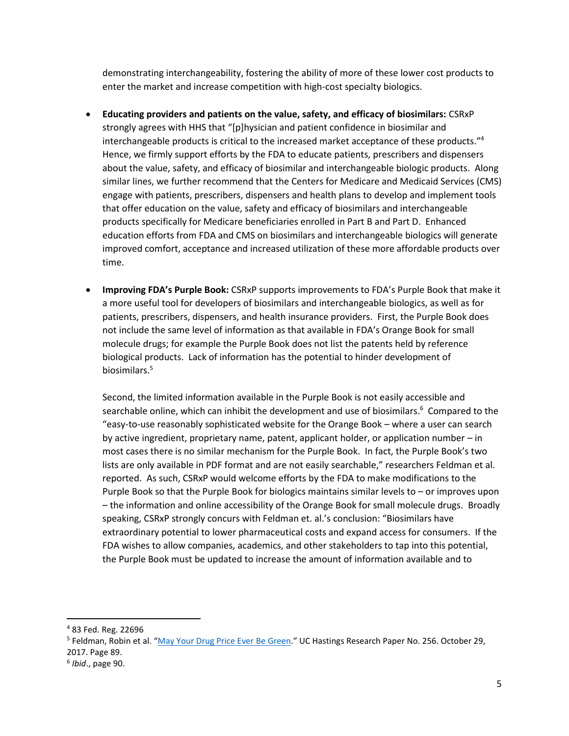demonstrating interchangeability, fostering the ability of more of these lower cost products to enter the market and increase competition with high-cost specialty biologics.

- **Educating providers and patients on the value, safety, and efficacy of biosimilars:** CSRxP strongly agrees with HHS that "[p]hysician and patient confidence in biosimilar and interchangeable products is critical to the increased market acceptance of these products."<sup>4</sup> Hence, we firmly support efforts by the FDA to educate patients, prescribers and dispensers about the value, safety, and efficacy of biosimilar and interchangeable biologic products. Along similar lines, we further recommend that the Centers for Medicare and Medicaid Services (CMS) engage with patients, prescribers, dispensers and health plans to develop and implement tools that offer education on the value, safety and efficacy of biosimilars and interchangeable products specifically for Medicare beneficiaries enrolled in Part B and Part D. Enhanced education efforts from FDA and CMS on biosimilars and interchangeable biologics will generate improved comfort, acceptance and increased utilization of these more affordable products over time.
- **Improving FDA's Purple Book:** CSRxP supports improvements to FDA's Purple Book that make it a more useful tool for developers of biosimilars and interchangeable biologics, as well as for patients, prescribers, dispensers, and health insurance providers. First, the Purple Book does not include the same level of information as that available in FDA's Orange Book for small molecule drugs; for example the Purple Book does not list the patents held by reference biological products. Lack of information has the potential to hinder development of biosimilars.<sup>5</sup>

Second, the limited information available in the Purple Book is not easily accessible and searchable online, which can inhibit the development and use of biosimilars.<sup>6</sup> Compared to the "easy-to-use reasonably sophisticated website for the Orange Book – where a user can search by active ingredient, proprietary name, patent, applicant holder, or application number – in most cases there is no similar mechanism for the Purple Book. In fact, the Purple Book's two lists are only available in PDF format and are not easily searchable," researchers Feldman et al. reported. As such, CSRxP would welcome efforts by the FDA to make modifications to the Purple Book so that the Purple Book for biologics maintains similar levels to – or improves upon – the information and online accessibility of the Orange Book for small molecule drugs. Broadly speaking, CSRxP strongly concurs with Feldman et. al.'s conclusion: "Biosimilars have extraordinary potential to lower pharmaceutical costs and expand access for consumers. If the FDA wishes to allow companies, academics, and other stakeholders to tap into this potential, the Purple Book must be updated to increase the amount of information available and to

 $\overline{a}$ 

<sup>4</sup> 83 Fed. Reg. 22696

<sup>&</sup>lt;sup>5</sup> Feldman, Robin et al. "[May Your Drug Price Ever Be](https://papers.ssrn.com/sol3/papers.cfm?abstract_id=3061567) Green." UC Hastings Research Paper No. 256. October 29, 2017. Page 89.

<sup>6</sup> *Ibid*., page 90.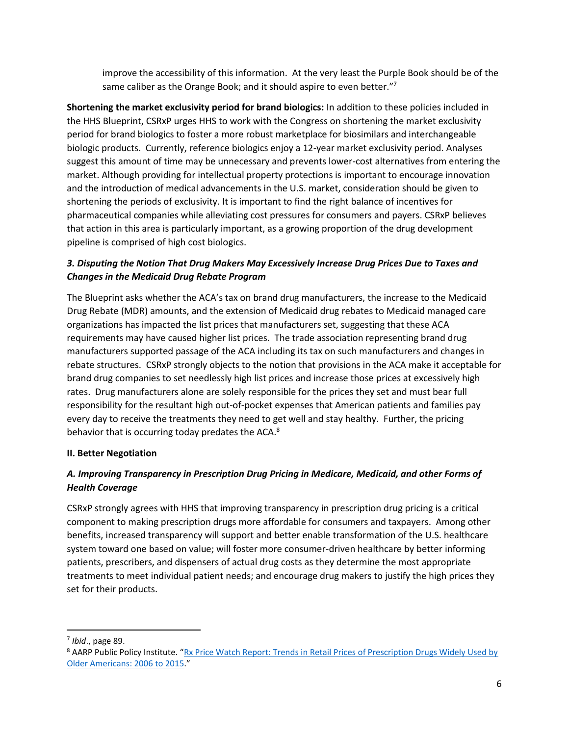improve the accessibility of this information. At the very least the Purple Book should be of the same caliber as the Orange Book; and it should aspire to even better."7

**Shortening the market exclusivity period for brand biologics:** In addition to these policies included in the HHS Blueprint, CSRxP urges HHS to work with the Congress on shortening the market exclusivity period for brand biologics to foster a more robust marketplace for biosimilars and interchangeable biologic products. Currently, reference biologics enjoy a 12-year market exclusivity period. Analyses suggest this amount of time may be unnecessary and prevents lower-cost alternatives from entering the market. Although providing for intellectual property protections is important to encourage innovation and the introduction of medical advancements in the U.S. market, consideration should be given to shortening the periods of exclusivity. It is important to find the right balance of incentives for pharmaceutical companies while alleviating cost pressures for consumers and payers. CSRxP believes that action in this area is particularly important, as a growing proportion of the drug development pipeline is comprised of high cost biologics.

# *3. Disputing the Notion That Drug Makers May Excessively Increase Drug Prices Due to Taxes and Changes in the Medicaid Drug Rebate Program*

The Blueprint asks whether the ACA's tax on brand drug manufacturers, the increase to the Medicaid Drug Rebate (MDR) amounts, and the extension of Medicaid drug rebates to Medicaid managed care organizations has impacted the list prices that manufacturers set, suggesting that these ACA requirements may have caused higher list prices. The trade association representing brand drug manufacturers supported passage of the ACA including its tax on such manufacturers and changes in rebate structures. CSRxP strongly objects to the notion that provisions in the ACA make it acceptable for brand drug companies to set needlessly high list prices and increase those prices at excessively high rates. Drug manufacturers alone are solely responsible for the prices they set and must bear full responsibility for the resultant high out-of-pocket expenses that American patients and families pay every day to receive the treatments they need to get well and stay healthy. Further, the pricing behavior that is occurring today predates the ACA.<sup>8</sup>

## **II. Better Negotiation**

# *A. Improving Transparency in Prescription Drug Pricing in Medicare, Medicaid, and other Forms of Health Coverage*

CSRxP strongly agrees with HHS that improving transparency in prescription drug pricing is a critical component to making prescription drugs more affordable for consumers and taxpayers. Among other benefits, increased transparency will support and better enable transformation of the U.S. healthcare system toward one based on value; will foster more consumer-driven healthcare by better informing patients, prescribers, and dispensers of actual drug costs as they determine the most appropriate treatments to meet individual patient needs; and encourage drug makers to justify the high prices they set for their products.

<sup>7</sup> *Ibid*., page 89.

<sup>&</sup>lt;sup>8</sup> AARP Public Policy Institute. "Rx Price Watch Report: Trends in Retail Prices of Prescription Drugs Widely Used by [Older Americans: 2006 to 2015](https://www.aarp.org/ppi/info-2016/trends-in-retail-prices-of-drugs.html)."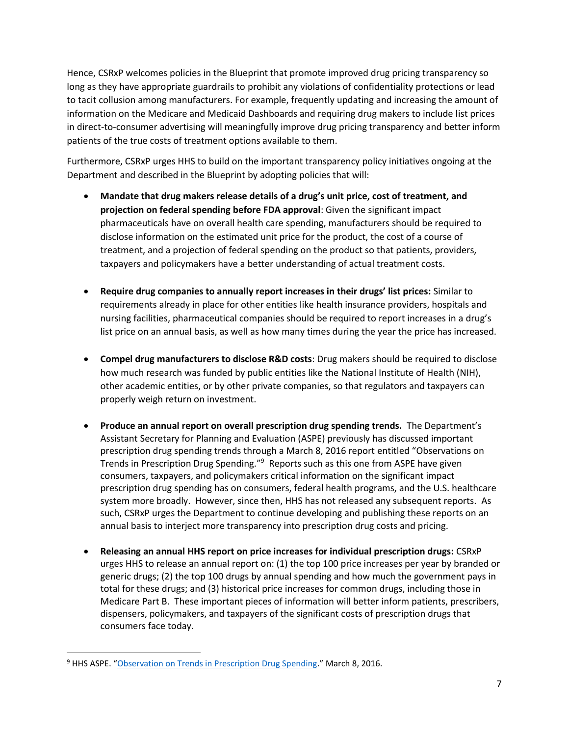Hence, CSRxP welcomes policies in the Blueprint that promote improved drug pricing transparency so long as they have appropriate guardrails to prohibit any violations of confidentiality protections or lead to tacit collusion among manufacturers. For example, frequently updating and increasing the amount of information on the Medicare and Medicaid Dashboards and requiring drug makers to include list prices in direct-to-consumer advertising will meaningfully improve drug pricing transparency and better inform patients of the true costs of treatment options available to them.

Furthermore, CSRxP urges HHS to build on the important transparency policy initiatives ongoing at the Department and described in the Blueprint by adopting policies that will:

- **Mandate that drug makers release details of a drug's unit price, cost of treatment, and projection on federal spending before FDA approval**: Given the significant impact pharmaceuticals have on overall health care spending, manufacturers should be required to disclose information on the estimated unit price for the product, the cost of a course of treatment, and a projection of federal spending on the product so that patients, providers, taxpayers and policymakers have a better understanding of actual treatment costs.
- **Require drug companies to annually report increases in their drugs' list prices:** Similar to requirements already in place for other entities like health insurance providers, hospitals and nursing facilities, pharmaceutical companies should be required to report increases in a drug's list price on an annual basis, as well as how many times during the year the price has increased.
- **Compel drug manufacturers to disclose R&D costs**: Drug makers should be required to disclose how much research was funded by public entities like the National Institute of Health (NIH), other academic entities, or by other private companies, so that regulators and taxpayers can properly weigh return on investment.
- **Produce an annual report on overall prescription drug spending trends.** The Department's Assistant Secretary for Planning and Evaluation (ASPE) previously has discussed important prescription drug spending trends through a March 8, 2016 report entitled "Observations on Trends in Prescription Drug Spending."<sup>9</sup> Reports such as this one from ASPE have given consumers, taxpayers, and policymakers critical information on the significant impact prescription drug spending has on consumers, federal health programs, and the U.S. healthcare system more broadly. However, since then, HHS has not released any subsequent reports. As such, CSRxP urges the Department to continue developing and publishing these reports on an annual basis to interject more transparency into prescription drug costs and pricing.
- **Releasing an annual HHS report on price increases for individual prescription drugs:** CSRxP urges HHS to release an annual report on: (1) the top 100 price increases per year by branded or generic drugs; (2) the top 100 drugs by annual spending and how much the government pays in total for these drugs; and (3) historical price increases for common drugs, including those in Medicare Part B. These important pieces of information will better inform patients, prescribers, dispensers, policymakers, and taxpayers of the significant costs of prescription drugs that consumers face today.

<sup>&</sup>lt;sup>9</sup> HHS ASPE. "[Observation on Trends in Prescription Drug Spending](https://aspe.hhs.gov/pdf-report/observations-trends-prescription-drug-spending)." March 8, 2016.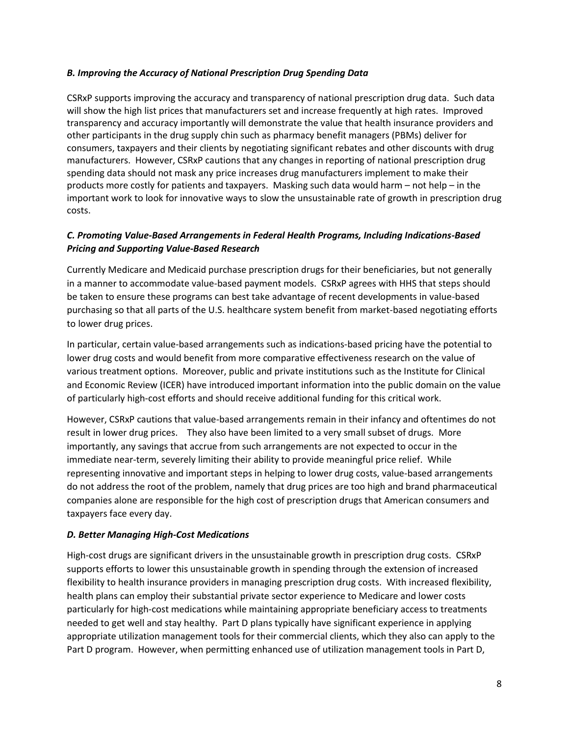#### *B. Improving the Accuracy of National Prescription Drug Spending Data*

CSRxP supports improving the accuracy and transparency of national prescription drug data. Such data will show the high list prices that manufacturers set and increase frequently at high rates. Improved transparency and accuracy importantly will demonstrate the value that health insurance providers and other participants in the drug supply chin such as pharmacy benefit managers (PBMs) deliver for consumers, taxpayers and their clients by negotiating significant rebates and other discounts with drug manufacturers. However, CSRxP cautions that any changes in reporting of national prescription drug spending data should not mask any price increases drug manufacturers implement to make their products more costly for patients and taxpayers. Masking such data would harm – not help – in the important work to look for innovative ways to slow the unsustainable rate of growth in prescription drug costs.

# *C. Promoting Value-Based Arrangements in Federal Health Programs, Including Indications-Based Pricing and Supporting Value-Based Research*

Currently Medicare and Medicaid purchase prescription drugs for their beneficiaries, but not generally in a manner to accommodate value-based payment models. CSRxP agrees with HHS that steps should be taken to ensure these programs can best take advantage of recent developments in value-based purchasing so that all parts of the U.S. healthcare system benefit from market-based negotiating efforts to lower drug prices.

In particular, certain value-based arrangements such as indications-based pricing have the potential to lower drug costs and would benefit from more comparative effectiveness research on the value of various treatment options. Moreover, public and private institutions such as the Institute for Clinical and Economic Review (ICER) have introduced important information into the public domain on the value of particularly high-cost efforts and should receive additional funding for this critical work.

However, CSRxP cautions that value-based arrangements remain in their infancy and oftentimes do not result in lower drug prices. They also have been limited to a very small subset of drugs. More importantly, any savings that accrue from such arrangements are not expected to occur in the immediate near-term, severely limiting their ability to provide meaningful price relief. While representing innovative and important steps in helping to lower drug costs, value-based arrangements do not address the root of the problem, namely that drug prices are too high and brand pharmaceutical companies alone are responsible for the high cost of prescription drugs that American consumers and taxpayers face every day.

## *D. Better Managing High-Cost Medications*

High-cost drugs are significant drivers in the unsustainable growth in prescription drug costs. CSRxP supports efforts to lower this unsustainable growth in spending through the extension of increased flexibility to health insurance providers in managing prescription drug costs. With increased flexibility, health plans can employ their substantial private sector experience to Medicare and lower costs particularly for high-cost medications while maintaining appropriate beneficiary access to treatments needed to get well and stay healthy. Part D plans typically have significant experience in applying appropriate utilization management tools for their commercial clients, which they also can apply to the Part D program. However, when permitting enhanced use of utilization management tools in Part D,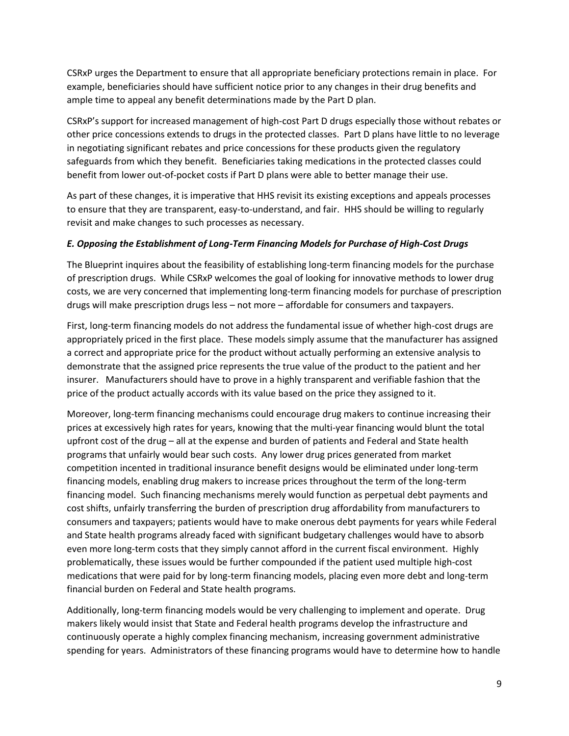CSRxP urges the Department to ensure that all appropriate beneficiary protections remain in place. For example, beneficiaries should have sufficient notice prior to any changes in their drug benefits and ample time to appeal any benefit determinations made by the Part D plan.

CSRxP's support for increased management of high-cost Part D drugs especially those without rebates or other price concessions extends to drugs in the protected classes. Part D plans have little to no leverage in negotiating significant rebates and price concessions for these products given the regulatory safeguards from which they benefit. Beneficiaries taking medications in the protected classes could benefit from lower out-of-pocket costs if Part D plans were able to better manage their use.

As part of these changes, it is imperative that HHS revisit its existing exceptions and appeals processes to ensure that they are transparent, easy-to-understand, and fair. HHS should be willing to regularly revisit and make changes to such processes as necessary.

#### *E. Opposing the Establishment of Long-Term Financing Models for Purchase of High-Cost Drugs*

The Blueprint inquires about the feasibility of establishing long-term financing models for the purchase of prescription drugs. While CSRxP welcomes the goal of looking for innovative methods to lower drug costs, we are very concerned that implementing long-term financing models for purchase of prescription drugs will make prescription drugs less – not more – affordable for consumers and taxpayers.

First, long-term financing models do not address the fundamental issue of whether high-cost drugs are appropriately priced in the first place. These models simply assume that the manufacturer has assigned a correct and appropriate price for the product without actually performing an extensive analysis to demonstrate that the assigned price represents the true value of the product to the patient and her insurer. Manufacturers should have to prove in a highly transparent and verifiable fashion that the price of the product actually accords with its value based on the price they assigned to it.

Moreover, long-term financing mechanisms could encourage drug makers to continue increasing their prices at excessively high rates for years, knowing that the multi-year financing would blunt the total upfront cost of the drug – all at the expense and burden of patients and Federal and State health programs that unfairly would bear such costs. Any lower drug prices generated from market competition incented in traditional insurance benefit designs would be eliminated under long-term financing models, enabling drug makers to increase prices throughout the term of the long-term financing model. Such financing mechanisms merely would function as perpetual debt payments and cost shifts, unfairly transferring the burden of prescription drug affordability from manufacturers to consumers and taxpayers; patients would have to make onerous debt payments for years while Federal and State health programs already faced with significant budgetary challenges would have to absorb even more long-term costs that they simply cannot afford in the current fiscal environment. Highly problematically, these issues would be further compounded if the patient used multiple high-cost medications that were paid for by long-term financing models, placing even more debt and long-term financial burden on Federal and State health programs.

Additionally, long-term financing models would be very challenging to implement and operate. Drug makers likely would insist that State and Federal health programs develop the infrastructure and continuously operate a highly complex financing mechanism, increasing government administrative spending for years. Administrators of these financing programs would have to determine how to handle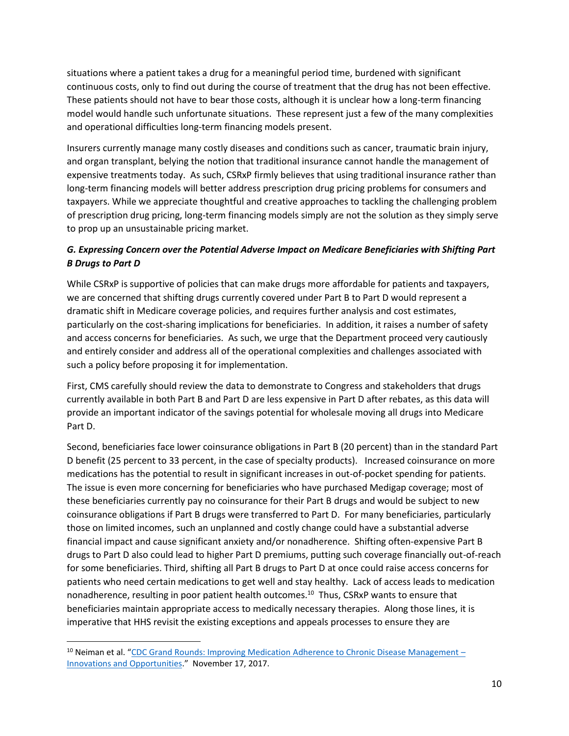situations where a patient takes a drug for a meaningful period time, burdened with significant continuous costs, only to find out during the course of treatment that the drug has not been effective. These patients should not have to bear those costs, although it is unclear how a long-term financing model would handle such unfortunate situations. These represent just a few of the many complexities and operational difficulties long-term financing models present.

Insurers currently manage many costly diseases and conditions such as cancer, traumatic brain injury, and organ transplant, belying the notion that traditional insurance cannot handle the management of expensive treatments today. As such, CSRxP firmly believes that using traditional insurance rather than long-term financing models will better address prescription drug pricing problems for consumers and taxpayers. While we appreciate thoughtful and creative approaches to tackling the challenging problem of prescription drug pricing, long-term financing models simply are not the solution as they simply serve to prop up an unsustainable pricing market.

# *G. Expressing Concern over the Potential Adverse Impact on Medicare Beneficiaries with Shifting Part B Drugs to Part D*

While CSRxP is supportive of policies that can make drugs more affordable for patients and taxpayers, we are concerned that shifting drugs currently covered under Part B to Part D would represent a dramatic shift in Medicare coverage policies, and requires further analysis and cost estimates, particularly on the cost-sharing implications for beneficiaries. In addition, it raises a number of safety and access concerns for beneficiaries. As such, we urge that the Department proceed very cautiously and entirely consider and address all of the operational complexities and challenges associated with such a policy before proposing it for implementation.

First, CMS carefully should review the data to demonstrate to Congress and stakeholders that drugs currently available in both Part B and Part D are less expensive in Part D after rebates, as this data will provide an important indicator of the savings potential for wholesale moving all drugs into Medicare Part D.

Second, beneficiaries face lower coinsurance obligations in Part B (20 percent) than in the standard Part D benefit (25 percent to 33 percent, in the case of specialty products). Increased coinsurance on more medications has the potential to result in significant increases in out-of-pocket spending for patients. The issue is even more concerning for beneficiaries who have purchased Medigap coverage; most of these beneficiaries currently pay no coinsurance for their Part B drugs and would be subject to new coinsurance obligations if Part B drugs were transferred to Part D. For many beneficiaries, particularly those on limited incomes, such an unplanned and costly change could have a substantial adverse financial impact and cause significant anxiety and/or nonadherence. Shifting often-expensive Part B drugs to Part D also could lead to higher Part D premiums, putting such coverage financially out-of-reach for some beneficiaries. Third, shifting all Part B drugs to Part D at once could raise access concerns for patients who need certain medications to get well and stay healthy. Lack of access leads to medication nonadherence, resulting in poor patient health outcomes.<sup>10</sup> Thus, CSRxP wants to ensure that beneficiaries maintain appropriate access to medically necessary therapies. Along those lines, it is imperative that HHS revisit the existing exceptions and appeals processes to ensure they are

l

<sup>&</sup>lt;sup>10</sup> Neiman et al. "[CDC Grand Rounds: Improving Medication Adherence to Chronic Disease Management](https://www.cdc.gov/mmwr/volumes/66/wr/mm6645a2.htm) – [Innovations and Opportunities](https://www.cdc.gov/mmwr/volumes/66/wr/mm6645a2.htm)." November 17, 2017.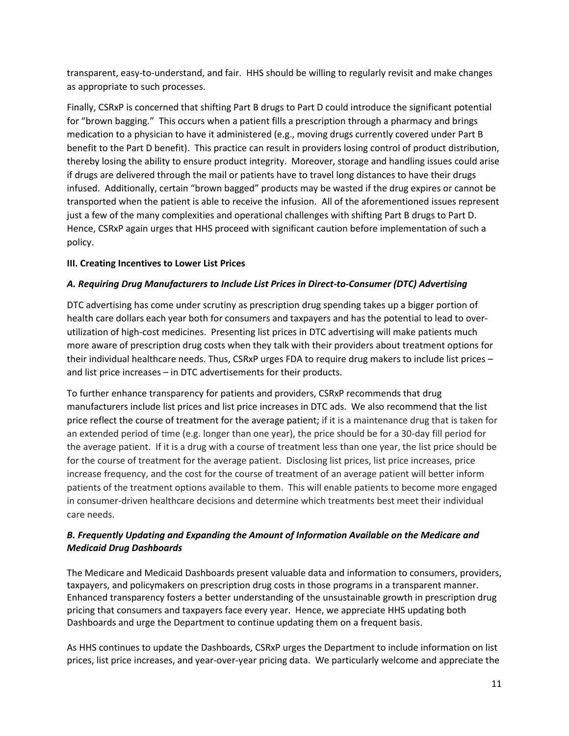transparent, easy-to-understand, and fair. HHS should be willing to regularly revisit and make changes as appropriate to such processes.

Finally, CSRxP is concerned that shifting Part B drugs to Part D could introduce the significant potential for "brown bagging." This occurs when a patient fills a prescription through a pharmacy and brings medication to a physician to have it administered (e.g., moving drugs currently covered under Part B benefit to the Part D benefit). This practice can result in providers losing control of product distribution, thereby losing the ability to ensure product integrity. Moreover, storage and handling issues could arise if drugs are delivered through the mail or patients have to travel long distances to have their drugs infused. Additionally, certain "brown bagged" products may be wasted if the drug expires or cannot be transported when the patient is able to receive the infusion. All of the aforementioned issues represent just a few of the many complexities and operational challenges with shifting Part B drugs to Part D. Hence, CSRxP again urges that HHS proceed with significant caution before implementation of such a policy.

#### **III. Creating Incentives to Lower List Prices**

#### *A. Requiring Drug Manufacturers to Include List Prices in Direct-to-Consumer (DTC) Advertising*

DTC advertising has come under scrutiny as prescription drug spending takes up a bigger portion of health care dollars each year both for consumers and taxpayers and has the potential to lead to overutilization of high-cost medicines. Presenting list prices in DTC advertising will make patients much more aware of prescription drug costs when they talk with their providers about treatment options for their individual healthcare needs. Thus, CSRxP urges FDA to require drug makers to include list prices – and list price increases – in DTC advertisements for their products.

To further enhance transparency for patients and providers, CSRxP recommends that drug manufacturers include list prices and list price increases in DTC ads. We also recommend that the list price reflect the course of treatment for the average patient; if it is a maintenance drug that is taken for an extended period of time (e.g. longer than one year), the price should be for a 30-day fill period for the average patient. If it is a drug with a course of treatment less than one year, the list price should be for the course of treatment for the average patient. Disclosing list prices, list price increases, price increase frequency, and the cost for the course of treatment of an average patient will better inform patients of the treatment options available to them. This will enable patients to become more engaged in consumer-driven healthcare decisions and determine which treatments best meet their individual care needs.

## *B. Frequently Updating and Expanding the Amount of Information Available on the Medicare and Medicaid Drug Dashboards*

The Medicare and Medicaid Dashboards present valuable data and information to consumers, providers, taxpayers, and policymakers on prescription drug costs in those programs in a transparent manner. Enhanced transparency fosters a better understanding of the unsustainable growth in prescription drug pricing that consumers and taxpayers face every year. Hence, we appreciate HHS updating both Dashboards and urge the Department to continue updating them on a frequent basis.

As HHS continues to update the Dashboards, CSRxP urges the Department to include information on list prices, list price increases, and year-over-year pricing data. We particularly welcome and appreciate the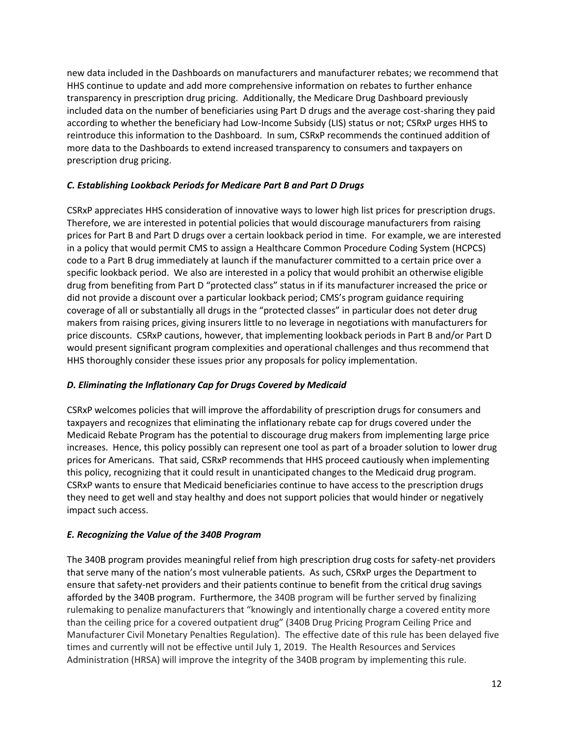new data included in the Dashboards on manufacturers and manufacturer rebates; we recommend that HHS continue to update and add more comprehensive information on rebates to further enhance transparency in prescription drug pricing. Additionally, the Medicare Drug Dashboard previously included data on the number of beneficiaries using Part D drugs and the average cost-sharing they paid according to whether the beneficiary had Low-Income Subsidy (LIS) status or not; CSRxP urges HHS to reintroduce this information to the Dashboard. In sum, CSRxP recommends the continued addition of more data to the Dashboards to extend increased transparency to consumers and taxpayers on prescription drug pricing.

## *C. Establishing Lookback Periods for Medicare Part B and Part D Drugs*

CSRxP appreciates HHS consideration of innovative ways to lower high list prices for prescription drugs. Therefore, we are interested in potential policies that would discourage manufacturers from raising prices for Part B and Part D drugs over a certain lookback period in time. For example, we are interested in a policy that would permit CMS to assign a Healthcare Common Procedure Coding System (HCPCS) code to a Part B drug immediately at launch if the manufacturer committed to a certain price over a specific lookback period. We also are interested in a policy that would prohibit an otherwise eligible drug from benefiting from Part D "protected class" status in if its manufacturer increased the price or did not provide a discount over a particular lookback period; CMS's program guidance requiring coverage of all or substantially all drugs in the "protected classes" in particular does not deter drug makers from raising prices, giving insurers little to no leverage in negotiations with manufacturers for price discounts. CSRxP cautions, however, that implementing lookback periods in Part B and/or Part D would present significant program complexities and operational challenges and thus recommend that HHS thoroughly consider these issues prior any proposals for policy implementation.

## *D. Eliminating the Inflationary Cap for Drugs Covered by Medicaid*

CSRxP welcomes policies that will improve the affordability of prescription drugs for consumers and taxpayers and recognizes that eliminating the inflationary rebate cap for drugs covered under the Medicaid Rebate Program has the potential to discourage drug makers from implementing large price increases. Hence, this policy possibly can represent one tool as part of a broader solution to lower drug prices for Americans. That said, CSRxP recommends that HHS proceed cautiously when implementing this policy, recognizing that it could result in unanticipated changes to the Medicaid drug program. CSRxP wants to ensure that Medicaid beneficiaries continue to have access to the prescription drugs they need to get well and stay healthy and does not support policies that would hinder or negatively impact such access.

## *E. Recognizing the Value of the 340B Program*

The 340B program provides meaningful relief from high prescription drug costs for safety-net providers that serve many of the nation's most vulnerable patients. As such, CSRxP urges the Department to ensure that safety-net providers and their patients continue to benefit from the critical drug savings afforded by the 340B program. Furthermore, the 340B program will be further served by finalizing rulemaking to penalize manufacturers that "knowingly and intentionally charge a covered entity more than the ceiling price for a covered outpatient drug" (340B Drug Pricing Program Ceiling Price and Manufacturer Civil Monetary Penalties Regulation). The effective date of this rule has been delayed five times and currently will not be effective until July 1, 2019. The Health Resources and Services Administration (HRSA) will improve the integrity of the 340B program by implementing this rule.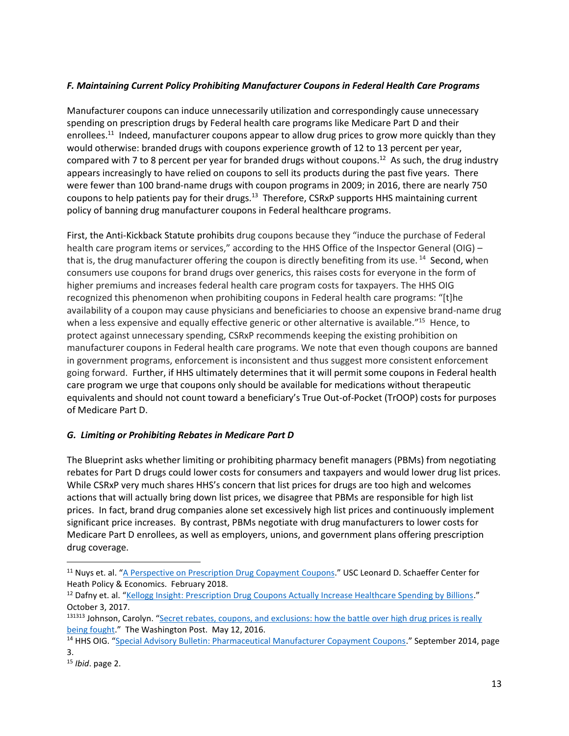## *F. Maintaining Current Policy Prohibiting Manufacturer Coupons in Federal Health Care Programs*

Manufacturer coupons can induce unnecessarily utilization and correspondingly cause unnecessary spending on prescription drugs by Federal health care programs like Medicare Part D and their enrollees.<sup>11</sup> Indeed, manufacturer coupons appear to allow drug prices to grow more quickly than they would otherwise: branded drugs with coupons experience growth of 12 to 13 percent per year, compared with 7 to 8 percent per year for branded drugs without coupons.<sup>12</sup> As such, the drug industry appears increasingly to have relied on coupons to sell its products during the past five years. There were fewer than 100 brand-name drugs with coupon programs in 2009; in 2016, there are nearly 750 coupons to help patients pay for their drugs.<sup>13</sup> Therefore, CSRxP supports HHS maintaining current policy of banning drug manufacturer coupons in Federal healthcare programs.

First, the Anti-Kickback Statute prohibits drug coupons because they "induce the purchase of Federal health care program items or services," according to the HHS Office of the Inspector General (OIG) – that is, the drug manufacturer offering the coupon is directly benefiting from its use. <sup>14</sup> Second, when consumers use coupons for brand drugs over generics, this raises costs for everyone in the form of higher premiums and increases federal health care program costs for taxpayers. The HHS OIG recognized this phenomenon when prohibiting coupons in Federal health care programs: "[t]he availability of a coupon may cause physicians and beneficiaries to choose an expensive brand-name drug when a less expensive and equally effective generic or other alternative is available."<sup>15</sup> Hence, to protect against unnecessary spending, CSRxP recommends keeping the existing prohibition on manufacturer coupons in Federal health care programs. We note that even though coupons are banned in government programs, enforcement is inconsistent and thus suggest more consistent enforcement going forward. Further, if HHS ultimately determines that it will permit some coupons in Federal health care program we urge that coupons only should be available for medications without therapeutic equivalents and should not count toward a beneficiary's True Out-of-Pocket (TrOOP) costs for purposes of Medicare Part D.

## *G. Limiting or Prohibiting Rebates in Medicare Part D*

The Blueprint asks whether limiting or prohibiting pharmacy benefit managers (PBMs) from negotiating rebates for Part D drugs could lower costs for consumers and taxpayers and would lower drug list prices. While CSRxP very much shares HHS's concern that list prices for drugs are too high and welcomes actions that will actually bring down list prices, we disagree that PBMs are responsible for high list prices. In fact, brand drug companies alone set excessively high list prices and continuously implement significant price increases. By contrast, PBMs negotiate with drug manufacturers to lower costs for Medicare Part D enrollees, as well as employers, unions, and government plans offering prescription drug coverage.

<sup>&</sup>lt;sup>11</sup> Nuys et. al. "[A Perspective on Prescription Drug Copayment Coupons](http://healthpolicy.usc.edu/documents/2018.02_Prescription%20Copay%20Coupons%20White%20Paper_Final.pdf)." USC Leonard D. Schaeffer Center for Heath Policy & Economics. February 2018.

<sup>&</sup>lt;sup>12</sup> Dafny et. al. "[Kellogg Insight: Prescription Drug Coupons Actually Increase Healthcare Spending by Billions](https://insight.kellogg.northwestern.edu/article/prescription-drug-copay-coupons-hurt-generic-competition)." October 3, 2017.

<sup>&</sup>lt;sup>131313</sup> Johnson, Carolyn. "Secret rebates, coupons, and exclusions: how the battle over high drug prices is really [being fought](https://www.washingtonpost.com/news/wonk/wp/2016/05/12/the-drug-price-arms-race-that-leaves-patients-caught-in-the-middle/?noredirect=on&utm_term=.47a90405db85)." The Washington Post. May 12, 2016.

<sup>&</sup>lt;sup>14</sup> HHS OIG. "[Special Advisory Bulletin: Pharmaceutical Manufacturer Copayment Coupons](https://oig.hhs.gov/fraud/docs/alertsandbulletins/2014/SAB_Copayment_Coupons.pdf)." September 2014, page 3.

<sup>15</sup> *Ibid*. page 2.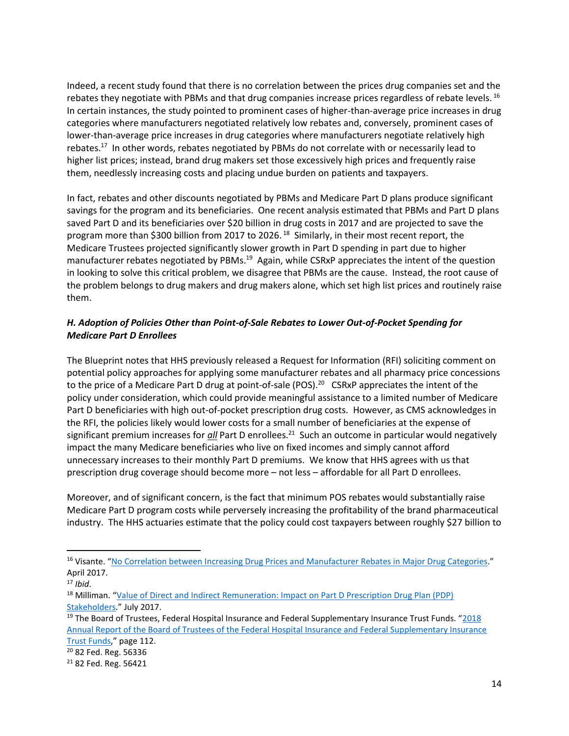Indeed, a recent study found that there is no correlation between the prices drug companies set and the rebates they negotiate with PBMs and that drug companies increase prices regardless of rebate levels. <sup>16</sup> In certain instances, the study pointed to prominent cases of higher-than-average price increases in drug categories where manufacturers negotiated relatively low rebates and, conversely, prominent cases of lower-than-average price increases in drug categories where manufacturers negotiate relatively high rebates.<sup>17</sup> In other words, rebates negotiated by PBMs do not correlate with or necessarily lead to higher list prices; instead, brand drug makers set those excessively high prices and frequently raise them, needlessly increasing costs and placing undue burden on patients and taxpayers.

In fact, rebates and other discounts negotiated by PBMs and Medicare Part D plans produce significant savings for the program and its beneficiaries. One recent analysis estimated that PBMs and Part D plans saved Part D and its beneficiaries over \$20 billion in drug costs in 2017 and are projected to save the program more than \$300 billion from 2017 to 2026.<sup>18</sup> Similarly, in their most recent report, the Medicare Trustees projected significantly slower growth in Part D spending in part due to higher manufacturer rebates negotiated by PBMs.<sup>19</sup> Again, while CSRxP appreciates the intent of the question in looking to solve this critical problem, we disagree that PBMs are the cause. Instead, the root cause of the problem belongs to drug makers and drug makers alone, which set high list prices and routinely raise them.

## *H. Adoption of Policies Other than Point-of-Sale Rebates to Lower Out-of-Pocket Spending for Medicare Part D Enrollees*

The Blueprint notes that HHS previously released a Request for Information (RFI) soliciting comment on potential policy approaches for applying some manufacturer rebates and all pharmacy price concessions to the price of a Medicare Part D drug at point-of-sale (POS).<sup>20</sup> CSRxP appreciates the intent of the policy under consideration, which could provide meaningful assistance to a limited number of Medicare Part D beneficiaries with high out-of-pocket prescription drug costs. However, as CMS acknowledges in the RFI, the policies likely would lower costs for a small number of beneficiaries at the expense of significant premium increases for *all* Part D enrollees.<sup>21</sup> Such an outcome in particular would negatively impact the many Medicare beneficiaries who live on fixed incomes and simply cannot afford unnecessary increases to their monthly Part D premiums. We know that HHS agrees with us that prescription drug coverage should become more – not less – affordable for all Part D enrollees.

Moreover, and of significant concern, is the fact that minimum POS rebates would substantially raise Medicare Part D program costs while perversely increasing the profitability of the brand pharmaceutical industry. The HHS actuaries estimate that the policy could cost taxpayers between roughly \$27 billion to

<sup>&</sup>lt;sup>16</sup> Visante. "[No Correlation between Increasing Drug Prices and](https://www.pcmanet.org/wp-content/uploads/2017/04/Visante-Study-on-Prices-vs.-Rebates-By-Category-FINAL-3.pdf) Manufacturer Rebates in Major Drug Categories." April 2017.

<sup>17</sup> *Ibid*.

<sup>&</sup>lt;sup>18</sup> Milliman. "Value of Direct and Indirect Remuneration: Impact on Part D Prescription Drug Plan (PDP) [Stakeholders](https://www.pcmanet.org/wp-content/uploads/2017/07/Value-of-PDP-DIR_20170706.pdf)." July 2017.

<sup>&</sup>lt;sup>19</sup> The Board of Trustees, Federal Hospital Insurance and Federal Supplementary Insurance Trust Funds. "2018 [Annual Report of the Board of Trustees of the Federal Hospital Insurance and Federal Supplementary Insurance](https://www.cms.gov/Research-Statistics-Data-and-Systems/Statistics-Trends-and-Reports/ReportsTrustFunds/Downloads/TR2018.pdf)  [Trust Funds](https://www.cms.gov/Research-Statistics-Data-and-Systems/Statistics-Trends-and-Reports/ReportsTrustFunds/Downloads/TR2018.pdf)," page 112.

<sup>20</sup> 82 Fed. Reg. 56336

<sup>21</sup> 82 Fed. Reg. 56421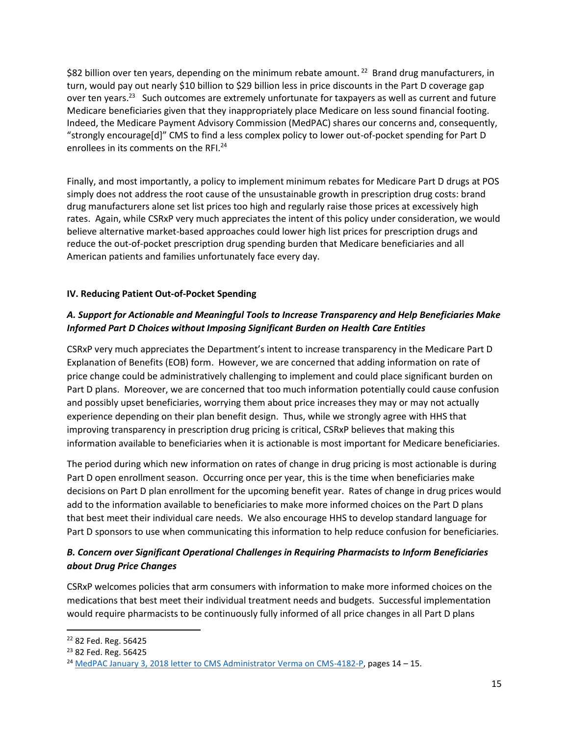\$82 billion over ten years, depending on the minimum rebate amount.<sup>22</sup> Brand drug manufacturers, in turn, would pay out nearly \$10 billion to \$29 billion less in price discounts in the Part D coverage gap over ten years.<sup>23</sup> Such outcomes are extremely unfortunate for taxpayers as well as current and future Medicare beneficiaries given that they inappropriately place Medicare on less sound financial footing. Indeed, the Medicare Payment Advisory Commission (MedPAC) shares our concerns and, consequently, "strongly encourage[d]" CMS to find a less complex policy to lower out-of-pocket spending for Part D enrollees in its comments on the RFI.<sup>24</sup>

Finally, and most importantly, a policy to implement minimum rebates for Medicare Part D drugs at POS simply does not address the root cause of the unsustainable growth in prescription drug costs: brand drug manufacturers alone set list prices too high and regularly raise those prices at excessively high rates. Again, while CSRxP very much appreciates the intent of this policy under consideration, we would believe alternative market-based approaches could lower high list prices for prescription drugs and reduce the out-of-pocket prescription drug spending burden that Medicare beneficiaries and all American patients and families unfortunately face every day.

## **IV. Reducing Patient Out-of-Pocket Spending**

# *A. Support for Actionable and Meaningful Tools to Increase Transparency and Help Beneficiaries Make Informed Part D Choices without Imposing Significant Burden on Health Care Entities*

CSRxP very much appreciates the Department's intent to increase transparency in the Medicare Part D Explanation of Benefits (EOB) form. However, we are concerned that adding information on rate of price change could be administratively challenging to implement and could place significant burden on Part D plans. Moreover, we are concerned that too much information potentially could cause confusion and possibly upset beneficiaries, worrying them about price increases they may or may not actually experience depending on their plan benefit design. Thus, while we strongly agree with HHS that improving transparency in prescription drug pricing is critical, CSRxP believes that making this information available to beneficiaries when it is actionable is most important for Medicare beneficiaries.

The period during which new information on rates of change in drug pricing is most actionable is during Part D open enrollment season. Occurring once per year, this is the time when beneficiaries make decisions on Part D plan enrollment for the upcoming benefit year. Rates of change in drug prices would add to the information available to beneficiaries to make more informed choices on the Part D plans that best meet their individual care needs. We also encourage HHS to develop standard language for Part D sponsors to use when communicating this information to help reduce confusion for beneficiaries.

# *B. Concern over Significant Operational Challenges in Requiring Pharmacists to Inform Beneficiaries about Drug Price Changes*

CSRxP welcomes policies that arm consumers with information to make more informed choices on the medications that best meet their individual treatment needs and budgets. Successful implementation would require pharmacists to be continuously fully informed of all price changes in all Part D plans

 $\overline{\phantom{a}}$ <sup>22</sup> 82 Fed. Reg. 56425

<sup>&</sup>lt;sup>23</sup> 82 Fed. Reg. 56425

<sup>&</sup>lt;sup>24</sup> [MedPAC January 3, 2018 letter to CMS Administrator Verma on CMS-4182-P,](http://www.medpac.gov/docs/default-source/comment-letters/01032018_partc_d_comment_v2_sec.pdf?sfvrsn=0) pages 14 - 15.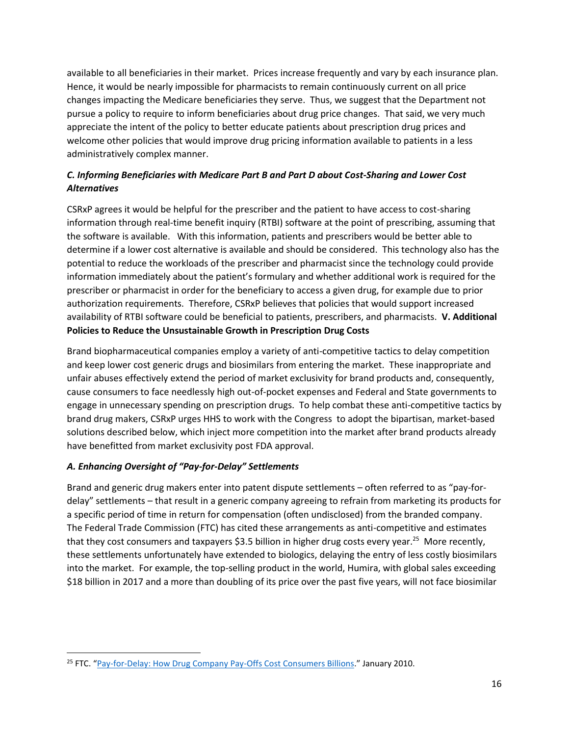available to all beneficiaries in their market. Prices increase frequently and vary by each insurance plan. Hence, it would be nearly impossible for pharmacists to remain continuously current on all price changes impacting the Medicare beneficiaries they serve. Thus, we suggest that the Department not pursue a policy to require to inform beneficiaries about drug price changes. That said, we very much appreciate the intent of the policy to better educate patients about prescription drug prices and welcome other policies that would improve drug pricing information available to patients in a less administratively complex manner.

# *C. Informing Beneficiaries with Medicare Part B and Part D about Cost-Sharing and Lower Cost Alternatives*

CSRxP agrees it would be helpful for the prescriber and the patient to have access to cost-sharing information through real-time benefit inquiry (RTBI) software at the point of prescribing, assuming that the software is available. With this information, patients and prescribers would be better able to determine if a lower cost alternative is available and should be considered. This technology also has the potential to reduce the workloads of the prescriber and pharmacist since the technology could provide information immediately about the patient's formulary and whether additional work is required for the prescriber or pharmacist in order for the beneficiary to access a given drug, for example due to prior authorization requirements. Therefore, CSRxP believes that policies that would support increased availability of RTBI software could be beneficial to patients, prescribers, and pharmacists. **V. Additional Policies to Reduce the Unsustainable Growth in Prescription Drug Costs**

Brand biopharmaceutical companies employ a variety of anti-competitive tactics to delay competition and keep lower cost generic drugs and biosimilars from entering the market. These inappropriate and unfair abuses effectively extend the period of market exclusivity for brand products and, consequently, cause consumers to face needlessly high out-of-pocket expenses and Federal and State governments to engage in unnecessary spending on prescription drugs. To help combat these anti-competitive tactics by brand drug makers, CSRxP urges HHS to work with the Congress to adopt the bipartisan, market-based solutions described below, which inject more competition into the market after brand products already have benefitted from market exclusivity post FDA approval.

## *A. Enhancing Oversight of "Pay-for-Delay" Settlements*

 $\overline{\phantom{a}}$ 

Brand and generic drug makers enter into patent dispute settlements – often referred to as "pay-fordelay" settlements – that result in a generic company agreeing to refrain from marketing its products for a specific period of time in return for compensation (often undisclosed) from the branded company. The Federal Trade Commission (FTC) has cited these arrangements as anti-competitive and estimates that they cost consumers and taxpayers \$3.5 billion in higher drug costs every year.<sup>25</sup> More recently, these settlements unfortunately have extended to biologics, delaying the entry of less costly biosimilars into the market. For example, the top-selling product in the world, Humira, with global sales exceeding \$18 billion in 2017 and a more than doubling of its price over the past five years, will not face biosimilar

<sup>25</sup> FTC. "[Pay-for-Delay: How Drug Company Pay-Offs Cost Consumers Billions](https://www.ftc.gov/sites/default/files/documents/reports/pay-delay-how-drug-company-pay-offs-cost-consumers-billions-federal-trade-commission-staff-study/100112payfordelayrpt.pdf)." January 2010.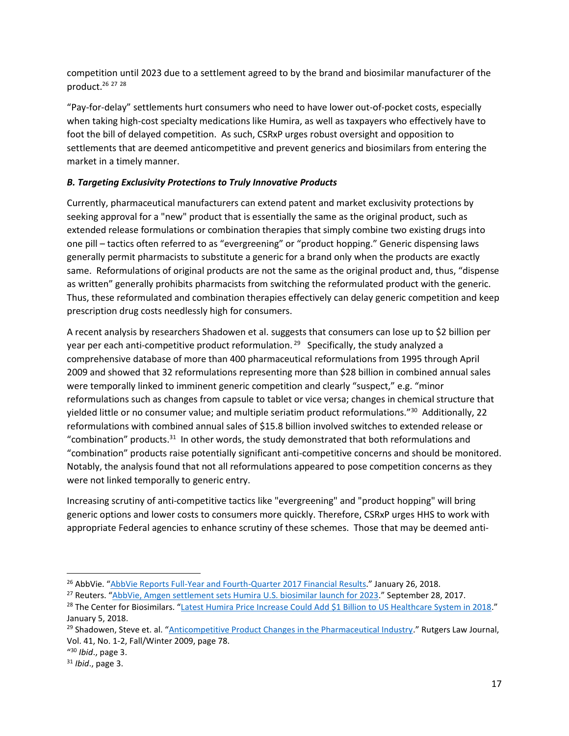competition until 2023 due to a settlement agreed to by the brand and biosimilar manufacturer of the product.<sup>26</sup> <sup>27</sup> <sup>28</sup>

"Pay-for-delay" settlements hurt consumers who need to have lower out-of-pocket costs, especially when taking high-cost specialty medications like Humira, as well as taxpayers who effectively have to foot the bill of delayed competition. As such, CSRxP urges robust oversight and opposition to settlements that are deemed anticompetitive and prevent generics and biosimilars from entering the market in a timely manner.

## *B. Targeting Exclusivity Protections to Truly Innovative Products*

Currently, pharmaceutical manufacturers can extend patent and market exclusivity protections by seeking approval for a "new" product that is essentially the same as the original product, such as extended release formulations or combination therapies that simply combine two existing drugs into one pill – tactics often referred to as "evergreening" or "product hopping." Generic dispensing laws generally permit pharmacists to substitute a generic for a brand only when the products are exactly same. Reformulations of original products are not the same as the original product and, thus, "dispense as written" generally prohibits pharmacists from switching the reformulated product with the generic. Thus, these reformulated and combination therapies effectively can delay generic competition and keep prescription drug costs needlessly high for consumers.

A recent analysis by researchers Shadowen et al. suggests that consumers can lose up to \$2 billion per year per each anti-competitive product reformulation.<sup>29</sup> Specifically, the study analyzed a comprehensive database of more than 400 pharmaceutical reformulations from 1995 through April 2009 and showed that 32 reformulations representing more than \$28 billion in combined annual sales were temporally linked to imminent generic competition and clearly "suspect," e.g. "minor reformulations such as changes from capsule to tablet or vice versa; changes in chemical structure that yielded little or no consumer value; and multiple seriatim product reformulations."<sup>30</sup> Additionally, 22 reformulations with combined annual sales of \$15.8 billion involved switches to extended release or "combination" products.<sup>31</sup> In other words, the study demonstrated that both reformulations and "combination" products raise potentially significant anti-competitive concerns and should be monitored. Notably, the analysis found that not all reformulations appeared to pose competition concerns as they were not linked temporally to generic entry.

Increasing scrutiny of anti-competitive tactics like "evergreening" and "product hopping" will bring generic options and lower costs to consumers more quickly. Therefore, CSRxP urges HHS to work with appropriate Federal agencies to enhance scrutiny of these schemes. Those that may be deemed anti-

<sup>&</sup>lt;sup>26</sup> AbbVie. "[AbbVie Reports Full-Year and Fourth-Quarter 2017 Financial Results](https://news.abbvie.com/news/abbvie-reports-full-year-and-fourth-quarter-2017-financial-results.htm)." January 26, 2018.

<sup>&</sup>lt;sup>27</sup> Reuters. "[AbbVie, Amgen settlement sets Humira U.S. biosimilar launch for 2023](https://www.reuters.com/article/us-abbvie-amgen-humira/abbvie-amgen-settlement-sets-humira-u-s-biosimilar-launch-for-2023-idUSKCN1C32G5)." September 28, 2017.

<sup>&</sup>lt;sup>28</sup> The Center for Biosimilars. "[Latest Humira Price Increase Could Add \\$1 Billion to US Healthcare System in 2018](http://www.centerforbiosimilars.com/news/latest-humira-price-increase-could-add-1-billion-to-us-healthcare-system-in-2018)." January 5, 2018.

<sup>&</sup>lt;sup>29</sup> Shadowen, Steve et. al. "[Anticompetitive Product Changes in the Pharmaceutical Industry](https://papers.ssrn.com/sol3/papers.cfm?abstract_id=1792864)." Rutgers Law Journal, Vol. 41, No. 1-2, Fall/Winter 2009, page 78.

<sup>&</sup>quot; <sup>30</sup> *Ibid*., page 3.

<sup>31</sup> *Ibid*., page 3.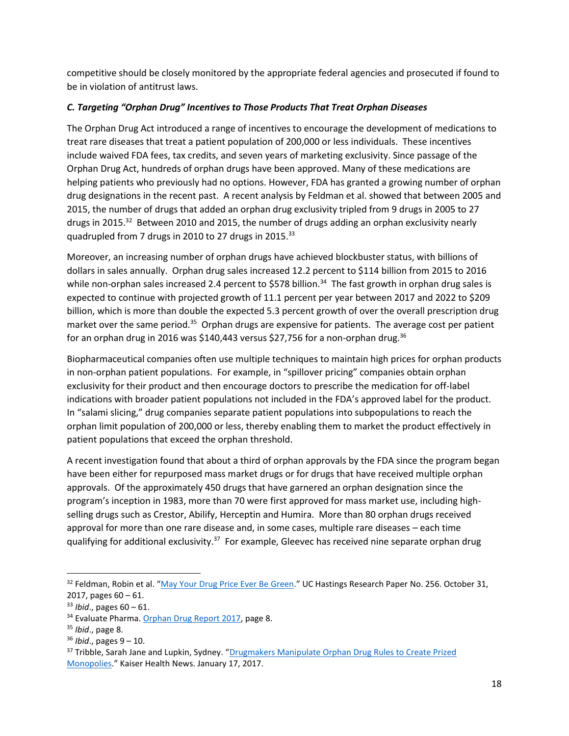competitive should be closely monitored by the appropriate federal agencies and prosecuted if found to be in violation of antitrust laws.

## *C. Targeting "Orphan Drug" Incentives to Those Products That Treat Orphan Diseases*

The Orphan Drug Act introduced a range of incentives to encourage the development of medications to treat rare diseases that treat a patient population of 200,000 or less individuals. These incentives include waived FDA fees, tax credits, and seven years of marketing exclusivity. Since passage of the Orphan Drug Act, hundreds of orphan drugs have been approved. Many of these medications are helping patients who previously had no options. However, FDA has granted a growing number of orphan drug designations in the recent past. A recent analysis by Feldman et al. showed that between 2005 and 2015, the number of drugs that added an orphan drug exclusivity tripled from 9 drugs in 2005 to 27 drugs in 2015.<sup>32</sup> Between 2010 and 2015, the number of drugs adding an orphan exclusivity nearly quadrupled from 7 drugs in 2010 to 27 drugs in 2015.<sup>33</sup>

Moreover, an increasing number of orphan drugs have achieved blockbuster status, with billions of dollars in sales annually. Orphan drug sales increased 12.2 percent to \$114 billion from 2015 to 2016 while non-orphan sales increased 2.4 percent to \$578 billion.<sup>34</sup> The fast growth in orphan drug sales is expected to continue with projected growth of 11.1 percent per year between 2017 and 2022 to \$209 billion, which is more than double the expected 5.3 percent growth of over the overall prescription drug market over the same period.<sup>35</sup> Orphan drugs are expensive for patients. The average cost per patient for an orphan drug in 2016 was \$140,443 versus \$27,756 for a non-orphan drug.<sup>36</sup>

Biopharmaceutical companies often use multiple techniques to maintain high prices for orphan products in non-orphan patient populations. For example, in "spillover pricing" companies obtain orphan exclusivity for their product and then encourage doctors to prescribe the medication for off-label indications with broader patient populations not included in the FDA's approved label for the product. In "salami slicing," drug companies separate patient populations into subpopulations to reach the orphan limit population of 200,000 or less, thereby enabling them to market the product effectively in patient populations that exceed the orphan threshold.

A recent investigation found that about a third of orphan approvals by the FDA since the program began have been either for repurposed mass market drugs or for drugs that have received multiple orphan approvals. Of the approximately 450 drugs that have garnered an orphan designation since the program's inception in 1983, more than 70 were first approved for mass market use, including highselling drugs such as Crestor, Abilify, Herceptin and Humira. More than 80 orphan drugs received approval for more than one rare disease and, in some cases, multiple rare diseases – each time qualifying for additional exclusivity.<sup>37</sup> For example, Gleevec has received nine separate orphan drug

<sup>&</sup>lt;sup>32</sup> Feldman, Robin et al. "[May Your Drug Price Ever Be](https://papers.ssrn.com/sol3/papers.cfm?abstract_id=3061567) Green." UC Hastings Research Paper No. 256. October 31, 2017, pages 60 – 61.

<sup>33</sup> *Ibid*., pages 60 – 61.

<sup>&</sup>lt;sup>34</sup> Evaluate Pharma. [Orphan Drug Report 2017,](http://info.evaluategroup.com/rs/607-YGS-364/images/EPOD17.pdf) page 8.

<sup>35</sup> *Ibid*., page 8.

<sup>36</sup> *Ibid*., pages 9 – 10.

<sup>&</sup>lt;sup>37</sup> Tribble, Sarah Jane and Lupkin, Sydney. "Drugmakers Manipulate Orphan Drug Rules to Create Prized [Monopolies](https://khn.org/news/drugmakers-manipulate-orphan-drug-rules-to-create-prized-monopolies/)." Kaiser Health News. January 17, 2017.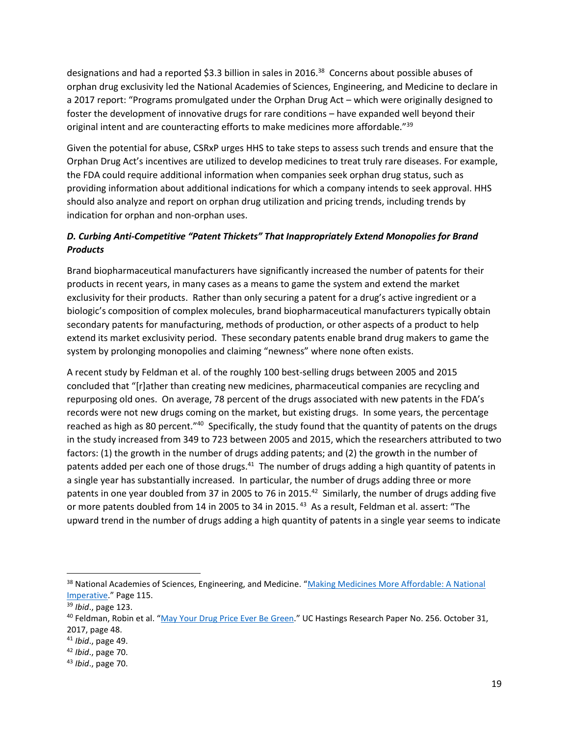designations and had a reported \$3.3 billion in sales in 2016.<sup>38</sup> Concerns about possible abuses of orphan drug exclusivity led the National Academies of Sciences, Engineering, and Medicine to declare in a 2017 report: "Programs promulgated under the Orphan Drug Act – which were originally designed to foster the development of innovative drugs for rare conditions – have expanded well beyond their original intent and are counteracting efforts to make medicines more affordable."<sup>39</sup>

Given the potential for abuse, CSRxP urges HHS to take steps to assess such trends and ensure that the Orphan Drug Act's incentives are utilized to develop medicines to treat truly rare diseases. For example, the FDA could require additional information when companies seek orphan drug status, such as providing information about additional indications for which a company intends to seek approval. HHS should also analyze and report on orphan drug utilization and pricing trends, including trends by indication for orphan and non-orphan uses.

# *D. Curbing Anti-Competitive "Patent Thickets" That Inappropriately Extend Monopolies for Brand Products*

Brand biopharmaceutical manufacturers have significantly increased the number of patents for their products in recent years, in many cases as a means to game the system and extend the market exclusivity for their products. Rather than only securing a patent for a drug's active ingredient or a biologic's composition of complex molecules, brand biopharmaceutical manufacturers typically obtain secondary patents for manufacturing, methods of production, or other aspects of a product to help extend its market exclusivity period. These secondary patents enable brand drug makers to game the system by prolonging monopolies and claiming "newness" where none often exists.

A recent study by Feldman et al. of the roughly 100 best-selling drugs between 2005 and 2015 concluded that "[r]ather than creating new medicines, pharmaceutical companies are recycling and repurposing old ones. On average, 78 percent of the drugs associated with new patents in the FDA's records were not new drugs coming on the market, but existing drugs. In some years, the percentage reached as high as 80 percent."<sup>40</sup> Specifically, the study found that the quantity of patents on the drugs in the study increased from 349 to 723 between 2005 and 2015, which the researchers attributed to two factors: (1) the growth in the number of drugs adding patents; and (2) the growth in the number of patents added per each one of those drugs.<sup>41</sup> The number of drugs adding a high quantity of patents in a single year has substantially increased. In particular, the number of drugs adding three or more patents in one year doubled from 37 in 2005 to 76 in 2015. $^{42}$  Similarly, the number of drugs adding five or more patents doubled from 14 in 2005 to 34 in 2015. <sup>43</sup> As a result, Feldman et al. assert: "The upward trend in the number of drugs adding a high quantity of patents in a single year seems to indicate

<sup>38</sup> National Academies of Sciences, Engineering, and Medicine. "Making Medicines More Affordable: A National [Imperative](http://www.nationalacademies.org/hmd/Reports/2017/making-medicines-affordable-a-national-imperative.aspx)." Page 115.

<sup>39</sup> *Ibid*., page 123.

<sup>&</sup>lt;sup>40</sup> Feldman, Robin et al. "[May Your Drug Price Ever Be](https://papers.ssrn.com/sol3/papers.cfm?abstract_id=3061567) Green." UC Hastings Research Paper No. 256. October 31, 2017, page 48.

<sup>41</sup> *Ibid*., page 49.

<sup>42</sup> *Ibid*., page 70.

<sup>43</sup> *Ibid*., page 70.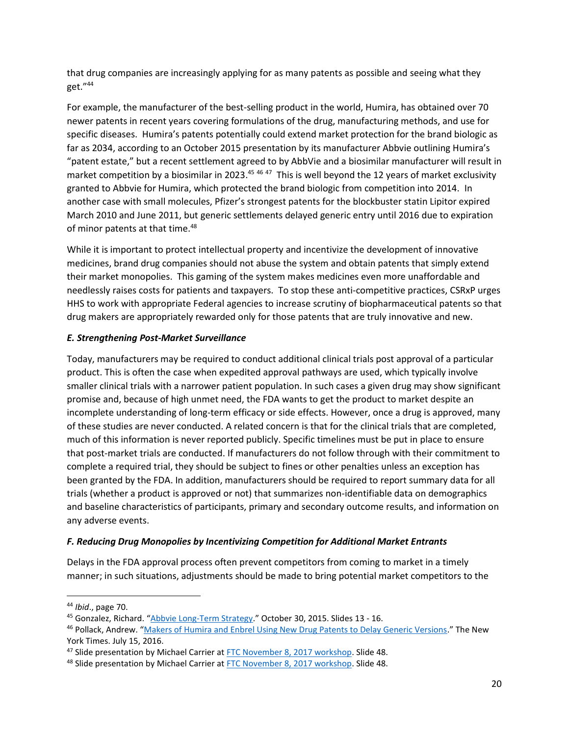that drug companies are increasingly applying for as many patents as possible and seeing what they get."<sup>44</sup>

For example, the manufacturer of the best-selling product in the world, Humira, has obtained over 70 newer patents in recent years covering formulations of the drug, manufacturing methods, and use for specific diseases. Humira's patents potentially could extend market protection for the brand biologic as far as 2034, according to an October 2015 presentation by its manufacturer Abbvie outlining Humira's "patent estate," but a recent settlement agreed to by AbbVie and a biosimilar manufacturer will result in market competition by a biosimilar in 2023.<sup>45 46 47</sup> This is well beyond the 12 years of market exclusivity granted to Abbvie for Humira, which protected the brand biologic from competition into 2014. In another case with small molecules, Pfizer's strongest patents for the blockbuster statin Lipitor expired March 2010 and June 2011, but generic settlements delayed generic entry until 2016 due to expiration of minor patents at that time.<sup>48</sup>

While it is important to protect intellectual property and incentivize the development of innovative medicines, brand drug companies should not abuse the system and obtain patents that simply extend their market monopolies. This gaming of the system makes medicines even more unaffordable and needlessly raises costs for patients and taxpayers. To stop these anti-competitive practices, CSRxP urges HHS to work with appropriate Federal agencies to increase scrutiny of biopharmaceutical patents so that drug makers are appropriately rewarded only for those patents that are truly innovative and new.

## *E. Strengthening Post-Market Surveillance*

Today, manufacturers may be required to conduct additional clinical trials post approval of a particular product. This is often the case when expedited approval pathways are used, which typically involve smaller clinical trials with a narrower patient population. In such cases a given drug may show significant promise and, because of high unmet need, the FDA wants to get the product to market despite an incomplete understanding of long-term efficacy or side effects. However, once a drug is approved, many of these studies are never conducted. A related concern is that for the clinical trials that are completed, much of this information is never reported publicly. Specific timelines must be put in place to ensure that post-market trials are conducted. If manufacturers do not follow through with their commitment to complete a required trial, they should be subject to fines or other penalties unless an exception has been granted by the FDA. In addition, manufacturers should be required to report summary data for all trials (whether a product is approved or not) that summarizes non-identifiable data on demographics and baseline characteristics of participants, primary and secondary outcome results, and information on any adverse events.

## *F. Reducing Drug Monopolies by Incentivizing Competition for Additional Market Entrants*

Delays in the FDA approval process often prevent competitors from coming to market in a timely manner; in such situations, adjustments should be made to bring potential market competitors to the

 $\overline{a}$ 

<sup>44</sup> *Ibid*., page 70.

<sup>45</sup> Gonzalez, Richard. "[Abbvie Long-Term Strategy](http://www.biotechduediligence.com/uploads/6/3/6/7/6367956/abbvie_strategy_presentation__1_.pdf)." October 30, 2015. Slides 13 - 16.

<sup>46</sup> Pollack, Andrew. "[Makers of Humira and Enbrel Using New Drug Patents to Delay Generic Versions](https://www.nytimes.com/2016/07/16/business/makers-of-humira-and-enbrel-using-new-drug-patents-to-delay-generic-versions.html)." The New York Times. July 15, 2016.

<sup>&</sup>lt;sup>47</sup> Slide presentation by Michael Carrier at [FTC November 8, 2017 workshop.](https://www.ftc.gov/system/files/documents/public_events/1255653/understanding_competition_in_prescription_drug_markets_workshop_slides_11-8-17.pdf) Slide 48.

<sup>&</sup>lt;sup>48</sup> Slide presentation by Michael Carrier at [FTC November 8, 2017 workshop.](https://www.ftc.gov/system/files/documents/public_events/1255653/understanding_competition_in_prescription_drug_markets_workshop_slides_11-8-17.pdf) Slide 48.